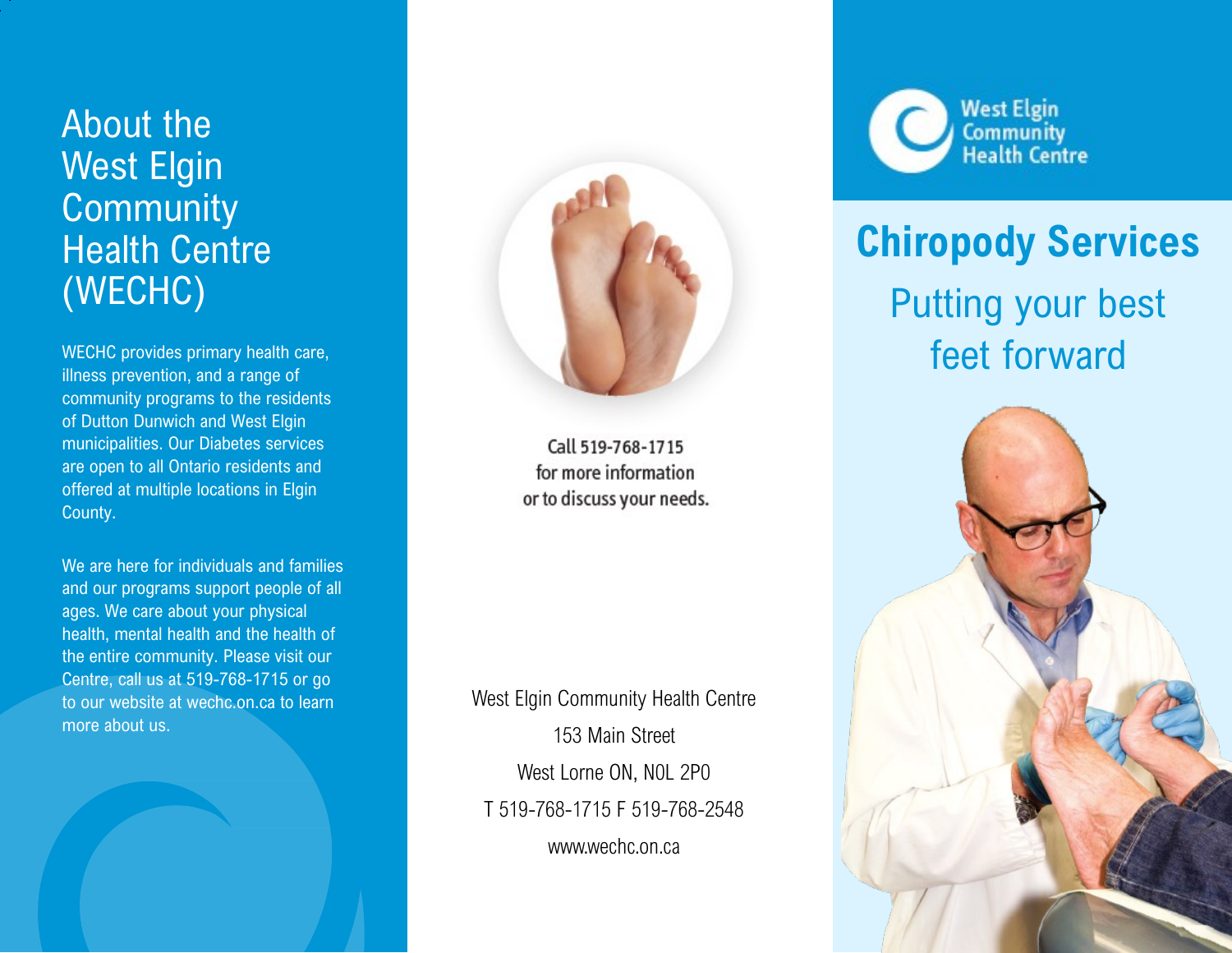## About the West Elgin **Community** Health Centre (WECHC)

WECHC provides primary health care, illness prevention, and a range of community programs to the residents of Dutton Dunwich and West Elgin municipalities. Our Diabetes services are open to all Ontario residents and offered at multiple locations in Elgin County.

We are here for individuals and families and our programs support people of all ages. We care about your physical health, mental health and the health of the entire community. Please visit our Centre, call us at 519-768-1715 or go to our website at wechc.on.ca to learn more about us.



Call 519-768-1715 for more information or to discuss your needs.

West Elgin Community Health Centre 153 Main Street West Lorne ON, N0L 2P0 T 519-768-1715 F 519-768-2548 www.wechc.on.ca



## **Chiropody Services** Putting your best feet forward